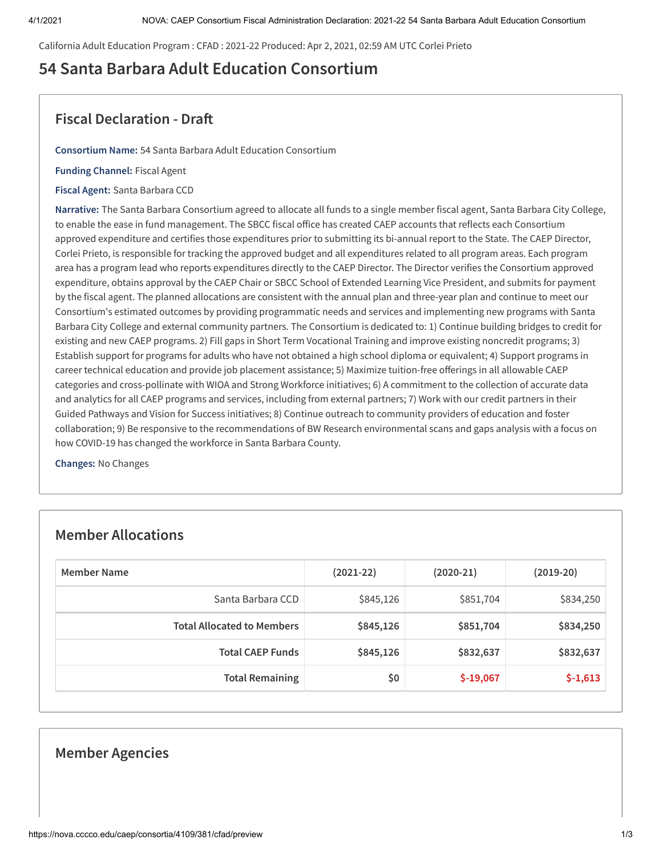California Adult Education Program : CFAD : 2021-22 Produced: Apr 2, 2021, 02:59 AM UTC Corlei Prieto

# **54 Santa Barbara Adult Education Consortium**

## **Fiscal Declaration - Dra**

**Consortium Name:** 54 Santa Barbara Adult Education Consortium

**Funding Channel:** Fiscal Agent

**Fiscal Agent:** Santa Barbara CCD

**Narrative:** The Santa Barbara Consortium agreed to allocate all funds to a single member fiscal agent, Santa Barbara City College, to enable the ease in fund management. The SBCC fiscal office has created CAEP accounts that reflects each Consortium approved expenditure and certifies those expenditures prior to submitting its bi-annual report to the State. The CAEP Director, Corlei Prieto, is responsible for tracking the approved budget and all expenditures related to all program areas. Each program area has a program lead who reports expenditures directly to the CAEP Director. The Director verifies the Consortium approved expenditure, obtains approval by the CAEP Chair or SBCC School of Extended Learning Vice President, and submits for payment by the fiscal agent. The planned allocations are consistent with the annual plan and three-year plan and continue to meet our Consortium's estimated outcomes by providing programmatic needs and services and implementing new programs with Santa Barbara City College and external community partners. The Consortium is dedicated to: 1) Continue building bridges to credit for existing and new CAEP programs. 2) Fill gaps in Short Term Vocational Training and improve existing noncredit programs; 3) Establish support for programs for adults who have not obtained a high school diploma or equivalent; 4) Support programs in career technical education and provide job placement assistance; 5) Maximize tuition-free offerings in all allowable CAEP categories and cross-pollinate with WIOA and Strong Workforce initiatives; 6) A commitment to the collection of accurate data and analytics for all CAEP programs and services, including from external partners; 7) Work with our credit partners in their Guided Pathways and Vision for Success initiatives; 8) Continue outreach to community providers of education and foster collaboration; 9) Be responsive to the recommendations of BW Research environmental scans and gaps analysis with a focus on how COVID-19 has changed the workforce in Santa Barbara County.

**Changes:** No Changes

### **Member Allocations**

| Member Name                       | $(2021-22)$ | $(2020-21)$ | $(2019-20)$ |
|-----------------------------------|-------------|-------------|-------------|
| Santa Barbara CCD                 | \$845,126   | \$851,704   | \$834,250   |
| <b>Total Allocated to Members</b> | \$845,126   | \$851,704   | \$834,250   |
| <b>Total CAEP Funds</b>           | \$845,126   | \$832,637   | \$832,637   |
| <b>Total Remaining</b>            | \$0         | $$-19,067$  | $$-1,613$   |

### **Member Agencies**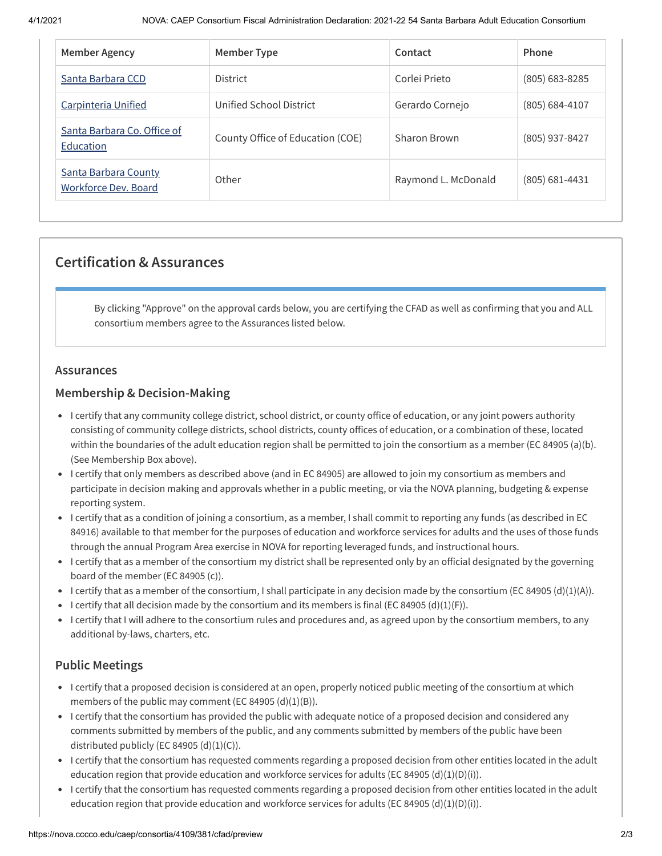| <b>Member Agency</b>                                | Member Type                      | Contact             | Phone          |
|-----------------------------------------------------|----------------------------------|---------------------|----------------|
| Santa Barbara CCD                                   | <b>District</b>                  | Corlei Prieto       | (805) 683-8285 |
| <b>Carpinteria Unified</b>                          | Unified School District          | Gerardo Cornejo     | (805) 684-4107 |
| Santa Barbara Co. Office of<br>Education            | County Office of Education (COE) | Sharon Brown        | (805) 937-8427 |
| <b>Santa Barbara County</b><br>Workforce Dev. Board | Other                            | Raymond L. McDonald | (805) 681-4431 |

## **Certification & Assurances**

By clicking "Approve" on the approval cards below, you are certifying the CFAD as well as confirming that you and ALL consortium members agree to the Assurances listed below.

#### **Assurances**

#### **Membership & Decision-Making**

- I certify that any community college district, school district, or county office of education, or any joint powers authority consisting of community college districts, school districts, county offices of education, or a combination of these, located within the boundaries of the adult education region shall be permitted to join the consortium as a member (EC 84905 (a)(b). (See Membership Box above).
- I certify that only members as described above (and in EC 84905) are allowed to join my consortium as members and participate in decision making and approvals whether in a public meeting, or via the NOVA planning, budgeting & expense reporting system.
- I certify that as a condition of joining a consortium, as a member, I shall commit to reporting any funds (as described in EC 84916) available to that member for the purposes of education and workforce services for adults and the uses of those funds through the annual Program Area exercise in NOVA for reporting leveraged funds, and instructional hours.
- I certify that as a member of the consortium my district shall be represented only by an official designated by the governing board of the member (EC 84905 (c)).
- I certify that as a member of the consortium, I shall participate in any decision made by the consortium (EC 84905 (d)(1)(A)).
- I certify that all decision made by the consortium and its members is final (EC 84905 (d)(1)(F)).
- I certify that I will adhere to the consortium rules and procedures and, as agreed upon by the consortium members, to any additional by-laws, charters, etc.

#### **Public Meetings**

- I certify that a proposed decision is considered at an open, properly noticed public meeting of the consortium at which members of the public may comment (EC 84905 (d)(1)(B)).
- I certify that the consortium has provided the public with adequate notice of a proposed decision and considered any comments submitted by members of the public, and any comments submitted by members of the public have been distributed publicly (EC 84905  $(d)(1)(C)$ ).
- I certify that the consortium has requested comments regarding a proposed decision from other entities located in the adult education region that provide education and workforce services for adults (EC 84905 (d)(1)(D)(i)).
- I certify that the consortium has requested comments regarding a proposed decision from other entities located in the adult education region that provide education and workforce services for adults (EC 84905 (d)(1)(D)(i)).